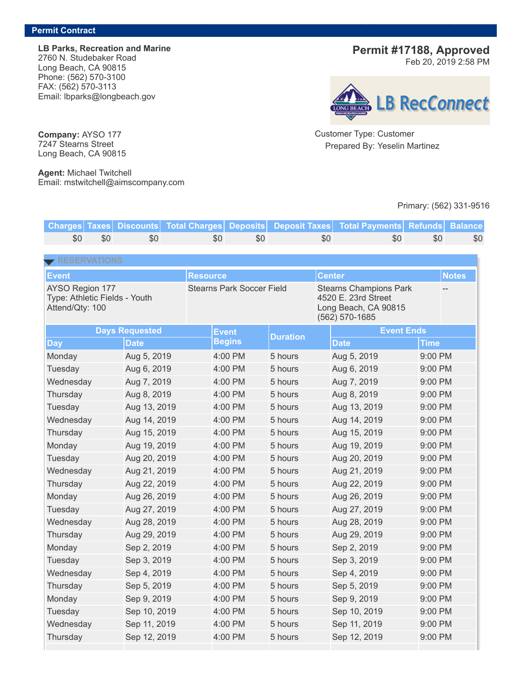**LB Parks, Recreation and Marine** 2760 N. Studebaker Road Long Beach, CA 90815 Phone: (562) 570-3100 FAX: (562) 570-3113 Email: lbparks@longbeach.gov

**Permit #17188, Approved**

Feb 20, 2019 2:58 PM



Customer Type: Customer Prepared By: Yeselin Martinez

## Primary: (562) 331-9516

**Charges Taxes Discounts Total Charges Deposits Deposit Taxes Total Payments Refunds Balance** \$0 \$0 \$0 \$0 \$0 \$0 \$0 \$0 \$0 **Event Resource Center Notes** AYSO Region 177 Type: Athletic Fields - Youth Attend/Qty: 100 Stearns Park Soccer Field Stearns Champions Park 4520 E. 23rd Street Long Beach, CA 90815 (562) 570-1685 -- **Days Requested Event Begins Duration Event Ends Day Date Date Time** Monday Aug 5, 2019 4:00 PM 5 hours Aug 5, 2019 9:00 PM Tuesday Aug 6, 2019 4:00 PM 5 hours Aug 6, 2019 9:00 PM Wednesday Aug 7, 2019 4:00 PM 5 hours Aug 7, 2019 9:00 PM Thursday Aug 8, 2019 4:00 PM 5 hours Aug 8, 2019 9:00 PM Tuesday Aug 13, 2019 4:00 PM 5 hours Aug 13, 2019 9:00 PM Wednesday Aug 14, 2019 4:00 PM 5 hours Aug 14, 2019 9:00 PM Thursday Aug 15, 2019 4:00 PM 5 hours Aug 15, 2019 9:00 PM Monday Aug 19, 2019 4:00 PM 5 hours Aug 19, 2019 9:00 PM Tuesday Aug 20, 2019 4:00 PM 5 hours Aug 20, 2019 9:00 PM Wednesday Aug 21, 2019 4:00 PM 5 hours Aug 21, 2019 9:00 PM Thursday Aug 22, 2019 4:00 PM 5 hours Aug 22, 2019 9:00 PM Monday Aug 26, 2019 4:00 PM 5 hours Aug 26, 2019 9:00 PM Tuesday Aug 27, 2019 4:00 PM 5 hours Aug 27, 2019 9:00 PM Wednesday Aug 28, 2019 4:00 PM 5 hours Aug 28, 2019 9:00 PM Thursday Aug 29, 2019 4:00 PM 5 hours Aug 29, 2019 9:00 PM Monday 6. Sep 2, 2019 4:00 PM 5 hours Sep 2, 2019 9:00 PM Tuesday 5ep 3, 2019 4:00 PM 5 hours Sep 3, 2019 9:00 PM Wednesday Sep 4, 2019 4:00 PM 5 hours Sep 4, 2019 9:00 PM Thursday Sep 5, 2019 4:00 PM 5 hours Sep 5, 2019 9:00 PM Monday 6. Sep 9, 2019 4:00 PM 5 hours Sep 9, 2019 9:00 PM Tuesday 6. Sep 10, 2019 4:00 PM 5 hours Sep 10, 2019 9:00 PM Wednesday Sep 11, 2019 4:00 PM 5 hours Sep 11, 2019 9:00 PM Thursday Sep 12, 2019 4:00 PM 5 hours Sep 12, 2019 9:00 PM

**Company:** AYSO 177 7247 Stearns Street Long Beach, CA 90815

**Agent:** Michael Twitchell Email: mstwitchell@aimscompany.com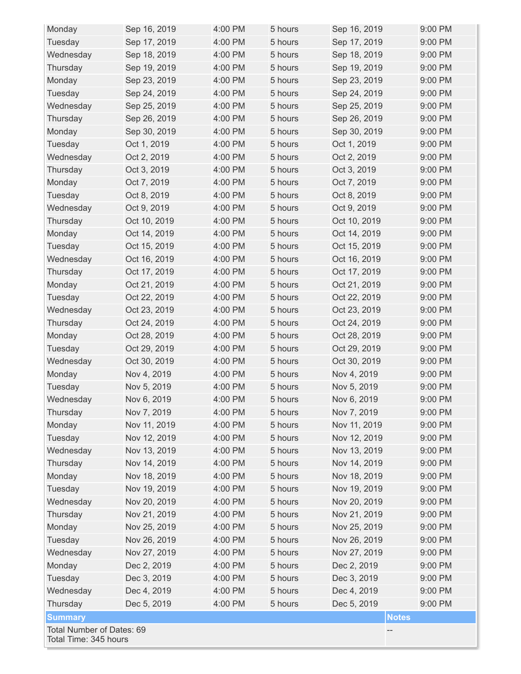| Monday                                             | Sep 16, 2019 | 4:00 PM | 5 hours | Sep 16, 2019 | 9:00 PM |  |  |
|----------------------------------------------------|--------------|---------|---------|--------------|---------|--|--|
| Tuesday                                            | Sep 17, 2019 | 4:00 PM | 5 hours | Sep 17, 2019 | 9:00 PM |  |  |
| Wednesday                                          | Sep 18, 2019 | 4:00 PM | 5 hours | Sep 18, 2019 | 9:00 PM |  |  |
| Thursday                                           | Sep 19, 2019 | 4:00 PM | 5 hours | Sep 19, 2019 | 9:00 PM |  |  |
| Monday                                             | Sep 23, 2019 | 4:00 PM | 5 hours | Sep 23, 2019 | 9:00 PM |  |  |
| Tuesday                                            | Sep 24, 2019 | 4:00 PM | 5 hours | Sep 24, 2019 | 9:00 PM |  |  |
| Wednesday                                          | Sep 25, 2019 | 4:00 PM | 5 hours | Sep 25, 2019 | 9:00 PM |  |  |
| Thursday                                           | Sep 26, 2019 | 4:00 PM | 5 hours | Sep 26, 2019 | 9:00 PM |  |  |
| Monday                                             | Sep 30, 2019 | 4:00 PM | 5 hours | Sep 30, 2019 | 9:00 PM |  |  |
| Tuesday                                            | Oct 1, 2019  | 4:00 PM | 5 hours | Oct 1, 2019  | 9:00 PM |  |  |
| Wednesday                                          | Oct 2, 2019  | 4:00 PM | 5 hours | Oct 2, 2019  | 9:00 PM |  |  |
| Thursday                                           | Oct 3, 2019  | 4:00 PM | 5 hours | Oct 3, 2019  | 9:00 PM |  |  |
| Monday                                             | Oct 7, 2019  | 4:00 PM | 5 hours | Oct 7, 2019  | 9:00 PM |  |  |
| Tuesday                                            | Oct 8, 2019  | 4:00 PM | 5 hours | Oct 8, 2019  | 9:00 PM |  |  |
| Wednesday                                          | Oct 9, 2019  | 4:00 PM | 5 hours | Oct 9, 2019  | 9:00 PM |  |  |
| Thursday                                           | Oct 10, 2019 | 4:00 PM | 5 hours | Oct 10, 2019 | 9:00 PM |  |  |
| Monday                                             | Oct 14, 2019 | 4:00 PM | 5 hours | Oct 14, 2019 | 9:00 PM |  |  |
| Tuesday                                            | Oct 15, 2019 | 4:00 PM | 5 hours | Oct 15, 2019 | 9:00 PM |  |  |
| Wednesday                                          | Oct 16, 2019 | 4:00 PM | 5 hours | Oct 16, 2019 | 9:00 PM |  |  |
| Thursday                                           | Oct 17, 2019 | 4:00 PM | 5 hours | Oct 17, 2019 | 9:00 PM |  |  |
| Monday                                             | Oct 21, 2019 | 4:00 PM | 5 hours | Oct 21, 2019 | 9:00 PM |  |  |
| Tuesday                                            | Oct 22, 2019 | 4:00 PM | 5 hours | Oct 22, 2019 | 9:00 PM |  |  |
| Wednesday                                          | Oct 23, 2019 | 4:00 PM | 5 hours | Oct 23, 2019 | 9:00 PM |  |  |
| Thursday                                           | Oct 24, 2019 | 4:00 PM | 5 hours | Oct 24, 2019 | 9:00 PM |  |  |
| Monday                                             | Oct 28, 2019 | 4:00 PM | 5 hours | Oct 28, 2019 | 9:00 PM |  |  |
| Tuesday                                            | Oct 29, 2019 | 4:00 PM | 5 hours | Oct 29, 2019 | 9:00 PM |  |  |
| Wednesday                                          | Oct 30, 2019 | 4:00 PM | 5 hours | Oct 30, 2019 | 9:00 PM |  |  |
| Monday                                             | Nov 4, 2019  | 4:00 PM | 5 hours | Nov 4, 2019  | 9:00 PM |  |  |
| Tuesday                                            | Nov 5, 2019  | 4:00 PM | 5 hours | Nov 5, 2019  | 9:00 PM |  |  |
| Wednesday                                          | Nov 6, 2019  | 4:00 PM | 5 hours | Nov 6, 2019  | 9:00 PM |  |  |
| Thursday                                           | Nov 7, 2019  | 4:00 PM | 5 hours | Nov 7, 2019  | 9:00 PM |  |  |
| Monday                                             | Nov 11, 2019 | 4:00 PM | 5 hours | Nov 11, 2019 | 9:00 PM |  |  |
| Tuesday                                            | Nov 12, 2019 | 4:00 PM | 5 hours | Nov 12, 2019 | 9:00 PM |  |  |
| Wednesday                                          | Nov 13, 2019 | 4:00 PM | 5 hours | Nov 13, 2019 | 9:00 PM |  |  |
| Thursday                                           | Nov 14, 2019 | 4:00 PM | 5 hours | Nov 14, 2019 | 9:00 PM |  |  |
| Monday                                             | Nov 18, 2019 | 4:00 PM | 5 hours | Nov 18, 2019 | 9:00 PM |  |  |
| Tuesday                                            | Nov 19, 2019 | 4:00 PM | 5 hours | Nov 19, 2019 | 9:00 PM |  |  |
| Wednesday                                          | Nov 20, 2019 | 4:00 PM | 5 hours | Nov 20, 2019 | 9:00 PM |  |  |
| Thursday                                           | Nov 21, 2019 | 4:00 PM | 5 hours | Nov 21, 2019 | 9:00 PM |  |  |
| Monday                                             | Nov 25, 2019 | 4:00 PM | 5 hours | Nov 25, 2019 | 9:00 PM |  |  |
| Tuesday                                            | Nov 26, 2019 | 4:00 PM | 5 hours | Nov 26, 2019 | 9:00 PM |  |  |
| Wednesday                                          | Nov 27, 2019 | 4:00 PM | 5 hours | Nov 27, 2019 | 9:00 PM |  |  |
| Monday                                             | Dec 2, 2019  | 4:00 PM | 5 hours | Dec 2, 2019  | 9:00 PM |  |  |
| Tuesday                                            | Dec 3, 2019  | 4:00 PM | 5 hours | Dec 3, 2019  | 9:00 PM |  |  |
| Wednesday                                          | Dec 4, 2019  | 4:00 PM | 5 hours | Dec 4, 2019  | 9:00 PM |  |  |
| Thursday                                           | Dec 5, 2019  | 4:00 PM | 5 hours | Dec 5, 2019  | 9:00 PM |  |  |
| <b>Summary</b><br><b>Notes</b>                     |              |         |         |              |         |  |  |
| Total Number of Dates: 69<br>Total Time: 345 hours |              |         |         |              |         |  |  |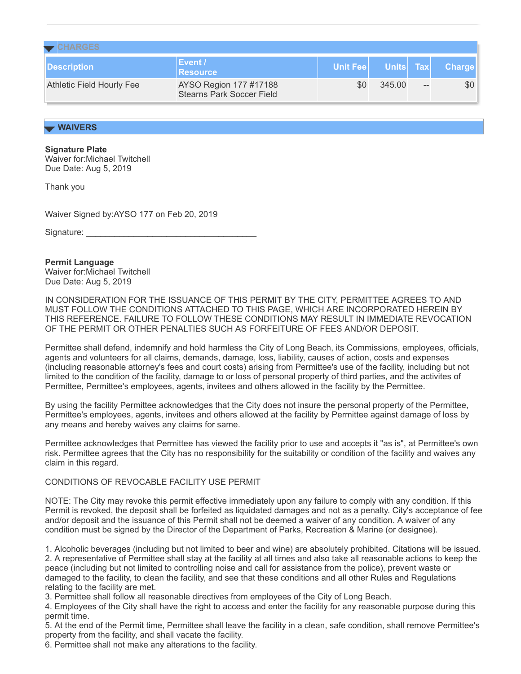| $\blacktriangleright$ CHARGES    |                                                            |                  |           |  |               |  |  |  |
|----------------------------------|------------------------------------------------------------|------------------|-----------|--|---------------|--|--|--|
| Description                      | Event /<br>Resource                                        | <b>Unit Feel</b> | Units Tax |  | <b>Charge</b> |  |  |  |
| <b>Athletic Field Hourly Fee</b> | AYSO Region 177 #17188<br><b>Stearns Park Soccer Field</b> | \$0              | 345.00    |  | \$0           |  |  |  |

## **WAIVERS**

**Signature Plate**

Waiver for:Michael Twitchell Due Date: Aug 5, 2019

Thank you

Waiver Signed by:AYSO 177 on Feb 20, 2019

Signature:

## **Permit Language**

Waiver for:Michael Twitchell Due Date: Aug 5, 2019

IN CONSIDERATION FOR THE ISSUANCE OF THIS PERMIT BY THE CITY, PERMITTEE AGREES TO AND MUST FOLLOW THE CONDITIONS ATTACHED TO THIS PAGE, WHICH ARE INCORPORATED HEREIN BY THIS REFERENCE. FAILURE TO FOLLOW THESE CONDITIONS MAY RESULT IN IMMEDIATE REVOCATION OF THE PERMIT OR OTHER PENALTIES SUCH AS FORFEITURE OF FEES AND/OR DEPOSIT.

Permittee shall defend, indemnify and hold harmless the City of Long Beach, its Commissions, employees, officials, agents and volunteers for all claims, demands, damage, loss, liability, causes of action, costs and expenses (including reasonable attorney's fees and court costs) arising from Permittee's use of the facility, including but not limited to the condition of the facility, damage to or loss of personal property of third parties, and the activites of Permittee, Permittee's employees, agents, invitees and others allowed in the facility by the Permittee.

By using the facility Permittee acknowledges that the City does not insure the personal property of the Permittee, Permittee's employees, agents, invitees and others allowed at the facility by Permittee against damage of loss by any means and hereby waives any claims for same.

Permittee acknowledges that Permittee has viewed the facility prior to use and accepts it "as is", at Permittee's own risk. Permittee agrees that the City has no responsibility for the suitability or condition of the facility and waives any claim in this regard.

## CONDITIONS OF REVOCABLE FACILITY USE PERMIT

NOTE: The City may revoke this permit effective immediately upon any failure to comply with any condition. If this Permit is revoked, the deposit shall be forfeited as liquidated damages and not as a penalty. City's acceptance of fee and/or deposit and the issuance of this Permit shall not be deemed a waiver of any condition. A waiver of any condition must be signed by the Director of the Department of Parks, Recreation & Marine (or designee).

1. Alcoholic beverages (including but not limited to beer and wine) are absolutely prohibited. Citations will be issued. 2. A representative of Permittee shall stay at the facility at all times and also take all reasonable actions to keep the peace (including but not limited to controlling noise and call for assistance from the police), prevent waste or damaged to the facility, to clean the facility, and see that these conditions and all other Rules and Regulations relating to the facility are met.

3. Permittee shall follow all reasonable directives from employees of the City of Long Beach.

4. Employees of the City shall have the right to access and enter the facility for any reasonable purpose during this permit time.

5. At the end of the Permit time, Permittee shall leave the facility in a clean, safe condition, shall remove Permittee's property from the facility, and shall vacate the facility.

6. Permittee shall not make any alterations to the facility.